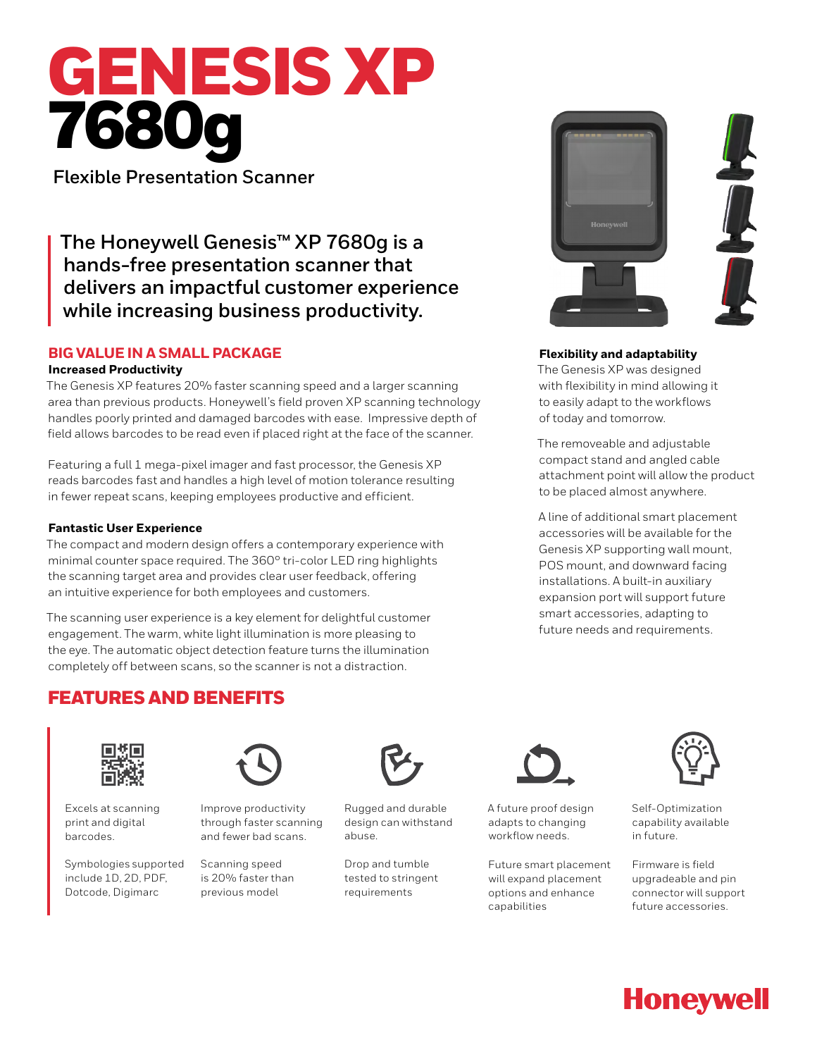# GENESIS XP 7680g

**Flexible Presentation Scanner**

**The Honeywell Genesis™ XP 7680g is a hands-free presentation scanner that delivers an impactful customer experience while increasing business productivity.**

# **BIG VALUE IN A SMALL PACKAGE**

## **Increased Productivity**

The Genesis XP features 20% faster scanning speed and a larger scanning area than previous products. Honeywell's field proven XP scanning technology handles poorly printed and damaged barcodes with ease. Impressive depth of field allows barcodes to be read even if placed right at the face of the scanner.

Featuring a full 1 mega-pixel imager and fast processor, the Genesis XP reads barcodes fast and handles a high level of motion tolerance resulting in fewer repeat scans, keeping employees productive and efficient.

# **Fantastic User Experience**

The compact and modern design offers a contemporary experience with minimal counter space required. The 360° tri-color LED ring highlights the scanning target area and provides clear user feedback, offering an intuitive experience for both employees and customers.

The scanning user experience is a key element for delightful customer engagement. The warm, white light illumination is more pleasing to the eye. The automatic object detection feature turns the illumination completely off between scans, so the scanner is not a distraction.



# **Flexibility and adaptability**

The Genesis XP was designed with flexibility in mind allowing it to easily adapt to the workflows of today and tomorrow.

The removeable and adjustable compact stand and angled cable attachment point will allow the product to be placed almost anywhere.

A line of additional smart placement accessories will be available for the Genesis XP supporting wall mount, POS mount, and downward facing installations. A built-in auxiliary expansion port will support future smart accessories, adapting to future needs and requirements.

# FEATURES AND BENEFITS



Excels at scanning print and digital barcodes.

Symbologies supported include 1D, 2D, PDF, Dotcode, Digimarc



Improve productivity through faster scanning and fewer bad scans.

Scanning speed is 20% faster than previous model



Rugged and durable design can withstand abuse.

Drop and tumble tested to stringent requirements



A future proof design adapts to changing workflow needs.

Future smart placement will expand placement options and enhance capabilities



Self-Optimization capability available in future.

Firmware is field upgradeable and pin connector will support future accessories.

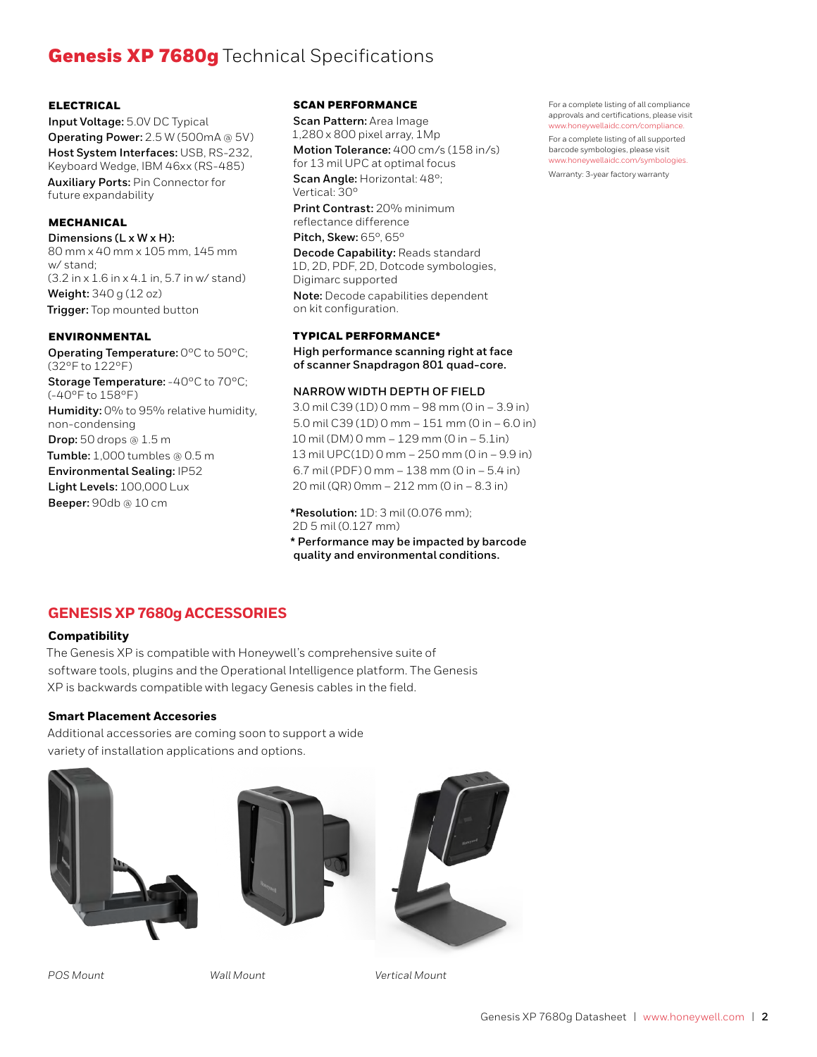# **Genesis XP 7680g** Technical Specifications

#### ELECTRICAL

**Input Voltage:** 5.0V DC Typical **Operating Power:** 2.5 W (500mA @ 5V) **Host System Interfaces:** USB, RS-232, Keyboard Wedge, IBM 46xx (RS-485) **Auxiliary Ports:** Pin Connector for future expandability

### MECHANICAL

**Dimensions (L x W x H):** 80 mm x 40 mm x 105 mm, 145 mm w/ stand; (3.2 in x 1.6 in x 4.1 in, 5.7 in w/ stand) **Weight:** 340 g (12 oz) **Trigger:** Top mounted button

#### ENVIRONMENTAL

**Operating Temperature:** 0°C to 50°C; (32°F to 122°F) **Storage Temperature:** -40°C to 70°C; (-40°F to 158°F) **Humidity:** 0% to 95% relative humidity, non-condensing **Drop:** 50 drops @ 1.5 m **Tumble:** 1,000 tumbles @ 0.5 m **Environmental Sealing:** IP52 **Light Levels:** 100,000 Lux **Beeper:** 90db @ 10 cm

#### SCAN PERFORMANCE

**Scan Pattern:** Area Image 1,280 x 800 pixel array, 1Mp **Motion Tolerance:** 400 cm/s (158 in/s) for 13 mil UPC at optimal focus

**Scan Angle:** Horizontal: 48°; Vertical: 30°

**Print Contrast:** 20% minimum reflectance difference **Pitch, Skew:** 65°, 65°

**Decode Capability:** Reads standard 1D, 2D, PDF, 2D, Dotcode symbologies, Digimarc supported

**Note:** Decode capabilities dependent on kit configuration.

#### TYPICAL PERFORMANCE\*

**High performance scanning right at face of scanner Snapdragon 801 quad-core.**

#### **NARROW WIDTH DEPTH OF FIELD**

3.0 mil C39 (1D) 0 mm – 98 mm (0 in – 3.9 in) 5.0 mil C39 (1D) 0 mm – 151 mm (0 in – 6.0 in) 10 mil (DM) 0 mm – 129 mm (0 in – 5.1in) 13 mil UPC(1D) 0 mm – 250 mm (0 in – 9.9 in) 6.7 mil (PDF) 0 mm – 138 mm (0 in – 5.4 in) 20 mil (QR) 0mm – 212 mm (0 in – 8.3 in)

**\*Resolution:** 1D: 3 mil (0.076 mm); 2D 5 mil (0.127 mm) **\* Performance may be impacted by barcode quality and environmental conditions.**

# **GENESIS XP 7680g ACCESSORIES**

## **Compatibility**

The Genesis XP is compatible with Honeywell's comprehensive suite of software tools, plugins and the Operational Intelligence platform. The Genesis XP is backwards compatible with legacy Genesis cables in the field.

#### **Smart Placement Accesories**

Additional accessories are coming soon to support a wide variety of installation applications and options.





*POS Mount Wall Mount Vertical Mount*

For a complete listing of all compliance approvals and certifications, please visit www.honeywellaidc.com/complian

For a complete listing of all supported barcode symbologies, please visit www.honeywellaidc.com/symbologies. Warranty: 3-year factory warranty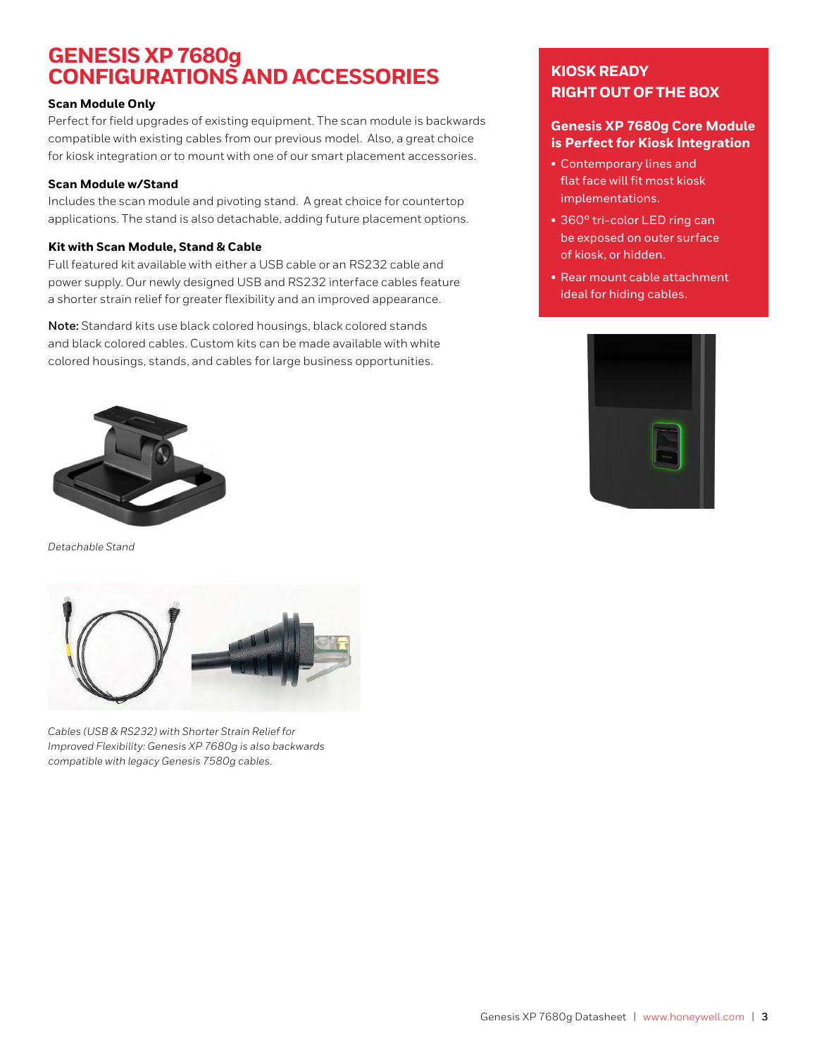# **GENESIS XP 7680g CONFIGURATIONS AND ACCESSORIES**

## **Scan Module Only**

Perfect for field upgrades of existing equipment. The scan module is backwards compatible with existing cables from our previous model. Also, a great choice for kiosk integration or to mount with one of our smart placement accessories.

# **Scan Module w/Stand**

Includes the scan module and pivoting stand. A great choice for countertop applications. The stand is also detachable, adding future placement options.

# **Kit with Scan Module, Stand & Cable**

Full featured kit available with either a USB cable or an RS232 cable and power supply. Our newly designed USB and RS232 interface cables feature a shorter strain relief for greater flexibility and an improved appearance.

**Note:** Standard kits use black colored housings, black colored stands and black colored cables. Custom kits can be made available with white colored housings, stands, and cables for large business opportunities.



*Detachable Stand*



*Cables (USB & RS232) with Shorter Strain Relief for Improved Flexibility: Genesis XP 7680g is also backwards compatible with legacy Genesis 7580g cables.*

# **KIOSK READY RIGHT OUT OF THE BOX**

# **Genesis XP 7680g Core Module is Perfect for Kiosk Integration**

- Contemporary lines and flat face will fit most kiosk implementations.
- 360° tri-color LED ring can be exposed on outer surface of kiosk, or hidden.
- Rear mount cable attachment ideal for hiding cables.